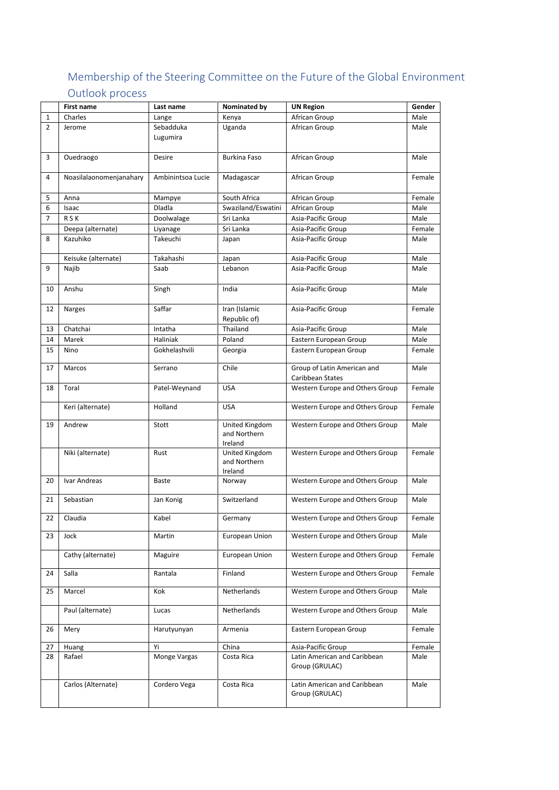## Membership of the Steering Committee on the Future of the Global Environment Outlook process

|                | <b>First name</b>            | Last name         | Nominated by        | <b>UN Region</b>                         | Gender |
|----------------|------------------------------|-------------------|---------------------|------------------------------------------|--------|
| $\mathbf{1}$   | Charles                      | Lange             | Kenya               | African Group                            | Male   |
| $\overline{2}$ | Jerome                       | Sebadduka         | Uganda              | African Group                            | Male   |
|                |                              | Lugumira          |                     |                                          |        |
|                |                              |                   |                     |                                          |        |
| 3              | Ouedraogo                    | Desire            | <b>Burkina Faso</b> | African Group                            | Male   |
|                |                              |                   |                     |                                          |        |
| 4              | Noasilalaonomenjanahary      | Ambinintsoa Lucie | Madagascar          | African Group                            | Female |
|                |                              |                   |                     |                                          |        |
| 5              | Anna                         | Mampye            | South Africa        | African Group                            | Female |
| 6              | Isaac                        | Dladla            | Swaziland/Eswatini  | African Group                            | Male   |
| $\overline{7}$ | <b>RSK</b>                   | Doolwalage        | Sri Lanka           | Asia-Pacific Group                       | Male   |
|                | Deepa (alternate)            | Liyanage          | Sri Lanka           | Asia-Pacific Group                       | Female |
| 8              | Kazuhiko                     | Takeuchi          | Japan               | Asia-Pacific Group                       | Male   |
|                |                              | Takahashi         |                     |                                          | Male   |
| 9              | Keisuke (alternate)<br>Najib | Saab              | Japan<br>Lebanon    | Asia-Pacific Group<br>Asia-Pacific Group | Male   |
|                |                              |                   |                     |                                          |        |
| 10             | Anshu                        | Singh             | India               | Asia-Pacific Group                       | Male   |
|                |                              |                   |                     |                                          |        |
| 12             | Narges                       | Saffar            | Iran (Islamic       | Asia-Pacific Group                       | Female |
|                |                              |                   | Republic of)        |                                          |        |
| 13             | Chatchai                     | Intatha           | Thailand            | Asia-Pacific Group                       | Male   |
| 14             | Marek                        | Haliniak          | Poland              | Eastern European Group                   | Male   |
| 15             | Nino                         | Gokhelashvili     | Georgia             | Eastern European Group                   | Female |
|                |                              |                   |                     |                                          |        |
| 17             | Marcos                       | Serrano           | Chile               | Group of Latin American and              | Male   |
|                |                              |                   |                     | Caribbean States                         |        |
| 18             | Toral                        | Patel-Weynand     | <b>USA</b>          | Western Europe and Others Group          | Female |
|                |                              |                   |                     |                                          |        |
|                | Keri (alternate)             | Holland           | <b>USA</b>          | Western Europe and Others Group          | Female |
| 19             | Andrew                       | Stott             | United Kingdom      | Western Europe and Others Group          | Male   |
|                |                              |                   | and Northern        |                                          |        |
|                |                              |                   | Ireland             |                                          |        |
|                | Niki (alternate)             | Rust              | United Kingdom      | Western Europe and Others Group          | Female |
|                |                              |                   | and Northern        |                                          |        |
|                |                              |                   | Ireland             |                                          |        |
| 20             | Ivar Andreas                 | <b>Baste</b>      | Norway              | Western Europe and Others Group          | Male   |
| 21             | Sebastian                    | Jan Konig         | Switzerland         | Western Europe and Others Group          | Male   |
|                |                              |                   |                     |                                          |        |
| 22             | Claudia                      | Kabel             | Germany             | Western Europe and Others Group          | Female |
|                |                              |                   |                     |                                          |        |
| 23             | Jock                         | Martin            | European Union      | Western Europe and Others Group          | Male   |
|                |                              |                   |                     | Western Europe and Others Group          | Female |
|                | Cathy (alternate)            | Maguire           | European Union      |                                          |        |
| 24             | Salla                        | Rantala           | Finland             | Western Europe and Others Group          | Female |
|                |                              |                   |                     |                                          |        |
| 25             | Marcel                       | Kok               | Netherlands         | Western Europe and Others Group          | Male   |
|                |                              |                   |                     |                                          |        |
|                | Paul (alternate)             | Lucas             | Netherlands         | Western Europe and Others Group          | Male   |
|                |                              |                   |                     |                                          |        |
| 26             | Mery                         | Harutyunyan       | Armenia             | Eastern European Group                   | Female |
| 27             | Huang                        | Yi                | China               | Asia-Pacific Group                       | Female |
| 28             | Rafael                       | Monge Vargas      | Costa Rica          | Latin American and Caribbean             | Male   |
|                |                              |                   |                     | Group (GRULAC)                           |        |
|                |                              |                   |                     |                                          |        |
|                | Carlos (Alternate)           | Cordero Vega      | Costa Rica          | Latin American and Caribbean             | Male   |
|                |                              |                   |                     | Group (GRULAC)                           |        |
|                |                              |                   |                     |                                          |        |